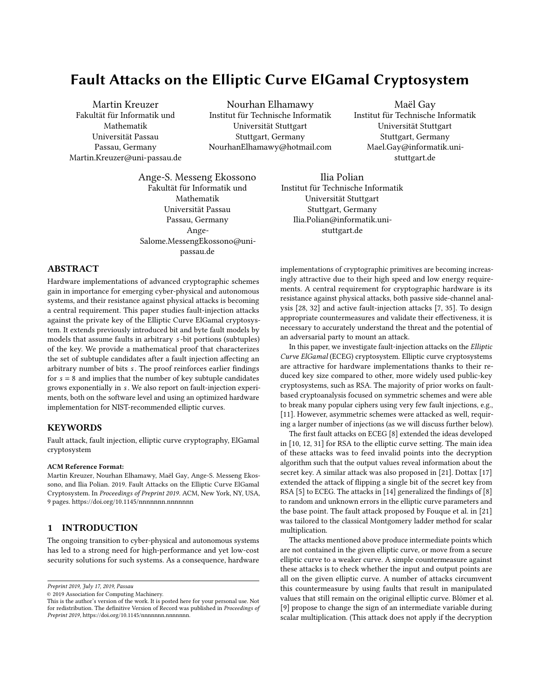# Fault Attacks on the Elliptic Curve ElGamal Cryptosystem

Martin Kreuzer Fakultät für Informatik und Mathematik Universität Passau Passau, Germany Martin.Kreuzer@uni-passau.de

Nourhan Elhamawy Institut für Technische Informatik Universität Stuttgart Stuttgart, Germany NourhanElhamawy@hotmail.com

Maël Gay Institut für Technische Informatik Universität Stuttgart Stuttgart, Germany Mael.Gay@informatik.unistuttgart.de

Ange-S. Messeng Ekossono Fakultät für Informatik und Mathematik Universität Passau Passau, Germany Ange-Salome.MessengEkossono@unipassau.de

Ilia Polian Institut für Technische Informatik Universität Stuttgart Stuttgart, Germany Ilia.Polian@informatik.unistuttgart.de

## ABSTRACT

Hardware implementations of advanced cryptographic schemes gain in importance for emerging cyber-physical and autonomous systems, and their resistance against physical attacks is becoming a central requirement. This paper studies fault-injection attacks against the private key of the Elliptic Curve ElGamal cryptosystem. It extends previously introduced bit and byte fault models by models that assume faults in arbitrary *s*-bit portions (subtuples) of the key. We provide a mathematical proof that characterizes the set of subtuple candidates after a fault injection affecting an arbitrary number of bits . The proof reinforces earlier findings for  $s = 8$  and implies that the number of key subtuple candidates grows exponentially in s. We also report on fault-injection experiments, both on the software level and using an optimized hardware implementation for NIST-recommended elliptic curves.

#### KEYWORDS

Fault attack, fault injection, elliptic curve cryptography, ElGamal cryptosystem

#### ACM Reference Format:

Martin Kreuzer, Nourhan Elhamawy, Maël Gay, Ange-S. Messeng Ekossono, and Ilia Polian. 2019. Fault Attacks on the Elliptic Curve ElGamal Cryptosystem. In Proceedings of Preprint 2019. ACM, New York, NY, USA, [9](#page-8-0) pages.<https://doi.org/10.1145/nnnnnnn.nnnnnnn>

## 1 INTRODUCTION

The ongoing transition to cyber-physical and autonomous systems has led to a strong need for high-performance and yet low-cost security solutions for such systems. As a consequence, hardware

Preprint 2019, July 17, 2019, Passau

implementations of cryptographic primitives are becoming increasingly attractive due to their high speed and low energy requirements. A central requirement for cryptographic hardware is its resistance against physical attacks, both passive side-channel analysis [\[28,](#page-8-1) [32\]](#page-8-2) and active fault-injection attacks [\[7,](#page-7-0) [35\]](#page-8-3). To design appropriate countermeasures and validate their effectiveness, it is necessary to accurately understand the threat and the potential of an adversarial party to mount an attack.

In this paper, we investigate fault-injection attacks on the Elliptic Curve ElGamal (ECEG) cryptosystem. Elliptic curve cryptosystems are attractive for hardware implementations thanks to their reduced key size compared to other, more widely used public-key cryptosystems, such as RSA. The majority of prior works on faultbased cryptoanalysis focused on symmetric schemes and were able to break many popular ciphers using very few fault injections, e.g., [\[11\]](#page-7-1). However, asymmetric schemes were attacked as well, requiring a larger number of injections (as we will discuss further below).

The first fault attacks on ECEG [\[8\]](#page-7-2) extended the ideas developed in [\[10,](#page-7-3) [12,](#page-8-4) [31\]](#page-8-5) for RSA to the elliptic curve setting. The main idea of these attacks was to feed invalid points into the decryption algorithm such that the output values reveal information about the secret key. A similar attack was also proposed in [\[21\]](#page-8-6). Dottax [\[17\]](#page-8-7) extended the attack of flipping a single bit of the secret key from RSA [\[5\]](#page-7-4) to ECEG. The attacks in [\[14\]](#page-8-8) generalized the findings of [\[8\]](#page-7-2) to random and unknown errors in the elliptic curve parameters and the base point. The fault attack proposed by Fouque et al. in [\[21\]](#page-8-6) was tailored to the classical Montgomery ladder method for scalar multiplication.

The attacks mentioned above produce intermediate points which are not contained in the given elliptic curve, or move from a secure elliptic curve to a weaker curve. A simple countermeasure against these attacks is to check whether the input and output points are all on the given elliptic curve. A number of attacks circumvent this countermeasure by using faults that result in manipulated values that still remain on the original elliptic curve. Blömer et al. [\[9\]](#page-7-5) propose to change the sign of an intermediate variable during scalar multiplication. (This attack does not apply if the decryption

<sup>©</sup> 2019 Association for Computing Machinery.

This is the author's version of the work. It is posted here for your personal use. Not for redistribution. The definitive Version of Record was published in Proceedings of Preprint 2019, https://doi.org/10.1145/nnnnnnn.nnnnnnnn.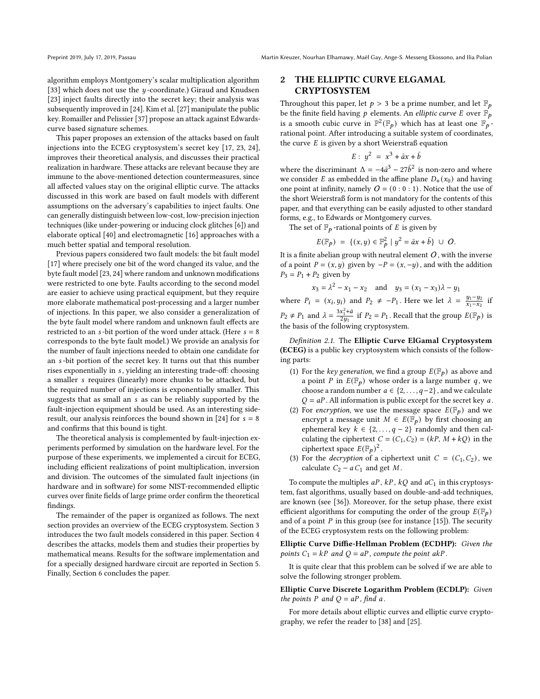algorithm employs Montgomery's scalar multiplication algorithm [\[33\]](#page-8-9) which does not use the  $y$ -coordinate.) Giraud and Knudsen [\[23\]](#page-8-10) inject faults directly into the secret key; their analysis was subsequently improved in [\[24\]](#page-8-11). Kim et al. [\[27\]](#page-8-12) manipulate the public key. Romailler and Pelissier [\[37\]](#page-8-13) propose an attack against Edwardscurve based signature schemes.

This paper proposes an extension of the attacks based on fault injections into the ECEG cryptosystem's secret key [\[17,](#page-8-7) [23,](#page-8-10) [24\]](#page-8-11), improves their theoretical analysis, and discusses their practical realization in hardware. These attacks are relevant because they are immune to the above-mentioned detection countermeasures, since all affected values stay on the original elliptic curve. The attacks discussed in this work are based on fault models with different assumptions on the adversary's capabilities to inject faults. One can generally distinguish between low-cost, low-precision injection techniques (like under-powering or inducing clock glitches [\[6\]](#page-7-6)) and elaborate optical [\[40\]](#page-8-14) and electromagnetic [\[16\]](#page-8-15) approaches with a much better spatial and temporal resolution.

Previous papers considered two fault models: the bit fault model [\[17\]](#page-8-7) where precisely one bit of the word changed its value, and the byte fault model [\[23,](#page-8-10) [24\]](#page-8-11) where random and unknown modifications were restricted to one byte. Faults according to the second model are easier to achieve using practical equipment, but they require more elaborate mathematical post-processing and a larger number of injections. In this paper, we also consider a generalization of the byte fault model where random and unknown fault effects are restricted to an  $s$ -bit portion of the word under attack. (Here  $s = 8$ corresponds to the byte fault model.) We provide an analysis for the number of fault injections needed to obtain one candidate for an *s*-bit portion of the secret key. It turns out that this number rises exponentially in s, yielding an interesting trade-off: choosing a smaller *s* requires (linearly) more chunks to be attacked, but the required number of injections is exponentially smaller. This suggests that as small an s as can be reliably supported by the fault-injection equipment should be used. As an interesting side-result, our analysis reinforces the bound shown in [\[24\]](#page-8-11) for  $s = 8$ and confirms that this bound is tight.

The theoretical analysis is complemented by fault-injection experiments performed by simulation on the hardware level. For the purpose of these experiments, we implemented a circuit for ECEG, including efficient realizations of point multiplication, inversion and division. The outcomes of the simulated fault injections (in hardware and in software) for some NIST-recommended elliptic curves over finite fields of large prime order confirm the theoretical findings.

The remainder of the paper is organized as follows. The next section provides an overview of the ECEG cryptosystem. Section [3](#page-2-0) introduces the two fault models considered in this paper. Section [4](#page-2-1) describes the attacks, models them and studies their properties by mathematical means. Results for the software implementation and for a specially designed hardware circuit are reported in Section [5.](#page-4-0) Finally, Section [6](#page-7-7) concludes the paper.

## 2 THE ELLIPTIC CURVE ELGAMAL CRYPTOSYSTEM

Throughout this paper, let  $p > 3$  be a prime number, and let  $\mathbb{F}_p$ be the finite field having  $p$  elements. An *elliptic curve E* over  $\mathbb{F}_p$ is a smooth cubic curve in  $\mathbb{P}^2(\mathbb{F}_p)$  which has at least one  $\mathbb{F}_p$ . rational point. After introducing a suitable system of coordinates, the curve  $E$  is given by a short Weierstraß equation

$$
E: y^2 = x^3 + \bar{a}x + \bar{b}
$$

where the discriminant  $\Delta = -4\bar{a}^3 - 27\bar{b}^2$  is non-zero and where we consider *E* as embedded in the affine plane  $D_+(x_0)$  and having one point at infinity, namely  $\hat{O} = (0:0:1)$ . Notice that the use of the short Weierstraß form is not mandatory for the contents of this paper, and that everything can be easily adjusted to other standard forms, e.g., to Edwards or Montgomery curves.

The set of  $\mathbb{F}_p$ -rational points of E is given by

$$
E(\mathbb{F}_p) = \{ (x, y) \in \mathbb{F}_p^2 \mid y^2 = \bar{a}x + \bar{b} \} \cup O.
$$

It is a finite abelian group with neutral element  $O$ , with the inverse of a point  $P = (x, y)$  given by  $-P = (x, -y)$ , and with the addition  $P_3 = P_1 + P_2$  given by

$$
x_3 = \lambda^2 - x_1 - x_2
$$
 and  $y_3 = (x_1 - x_3)\lambda - y_1$ 

where  $P_i = (x_i, y_i)$  and  $P_2 \neq -P_1$ . Here we let  $\lambda = \frac{y_1 - y_2}{x_1 - x_2}$  if  $P_2 \neq P_1$  and  $\lambda = \frac{3x_1^2 + \bar{a}}{2\pi}$  $\frac{x_1^2+a}{2y_1}$  if  $P_2 = P_1$ . Recall that the group  $E(\mathbb{F}_p)$  is the basis of the following cryptosystem.

Definition 2.1. The Elliptic Curve ElGamal Cryptosystem (ECEG) is a public key cryptosystem which consists of the following parts:

- (1) For the key generation, we find a group  $E(\mathbb{F}_p)$  as above and a point P in  $E(\mathbb{F}_p)$  whose order is a large number q, we choose a random number  $a \in \{2, \ldots, q-2\}$ , and we calculate  $Q = aP$ . All information is public except for the secret key a.
- (2) For encryption, we use the message space  $E(\mathbb{F}_p)$  and we encrypt a message unit  $M \in E(\mathbb{F}_p)$  by first choosing an ephemeral key  $k \in \{2, ..., q - 2\}$  randomly and then calculating the ciphertext  $C = (C_1, C_2) = (kP, M + kQ)$  in the ciphertext space  $E(\mathbb{F}_p)^2$ .
- (3) For the *decryption* of a ciphertext unit  $C = (C_1, C_2)$ , we calculate  $C_2 - a C_1$  and get M.

To compute the multiples  $aP$ ,  $kP$ ,  $kQ$  and  $aC<sub>1</sub>$  in this cryptosystem, fast algorithms, usually based on double-and-add techniques, are known (see [\[36\]](#page-8-16)). Moreover, for the setup phase, there exist efficient algorithms for computing the order of the group  $E(\mathbb{F}_p)$ and of a point  $P$  in this group (see for instance [\[15\]](#page-8-17)). The security of the ECEG cryptosystem rests on the following problem:

Elliptic Curve Diffie-Hellman Problem (ECDHP): Given the points  $C_1 = kP$  and  $Q = aP$ , compute the point  $akP$ .

It is quite clear that this problem can be solved if we are able to solve the following stronger problem.

Elliptic Curve Discrete Logarithm Problem (ECDLP): Given the points P and  $Q = aP$ , find a.

For more details about elliptic curves and elliptic curve cryptography, we refer the reader to [\[38\]](#page-8-18) and [\[25\]](#page-8-19).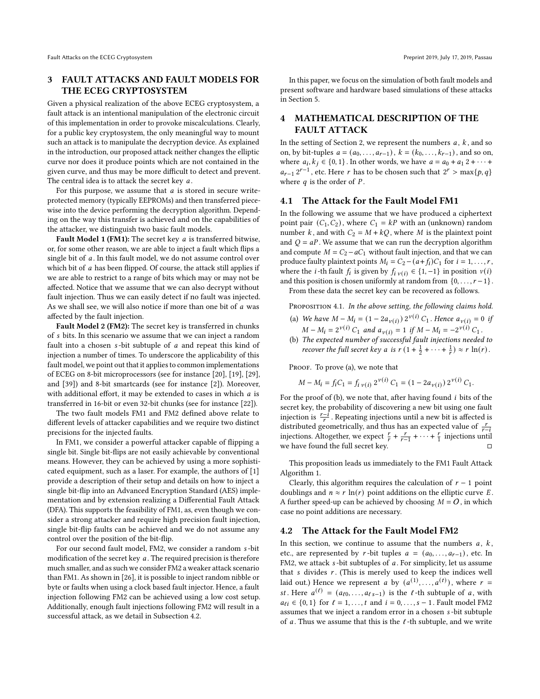## <span id="page-2-0"></span>3 FAULT ATTACKS AND FAULT MODELS FOR THE ECEG CRYPTOSYSTEM

Given a physical realization of the above ECEG cryptosystem, a fault attack is an intentional manipulation of the electronic circuit of this implementation in order to provoke miscalculations. Clearly, for a public key cryptosystem, the only meaningful way to mount such an attack is to manipulate the decryption device. As explained in the introduction, our proposed attack neither changes the elliptic curve nor does it produce points which are not contained in the given curve, and thus may be more difficult to detect and prevent. The central idea is to attack the secret key  $a$ .

For this purpose, we assume that  $a$  is stored in secure writeprotected memory (typically EEPROMs) and then transferred piecewise into the device performing the decryption algorithm. Depending on the way this transfer is achieved and on the capabilities of the attacker, we distinguish two basic fault models.

Fault Model 1 (FM1): The secret key  $a$  is transferred bitwise, or, for some other reason, we are able to inject a fault which flips a single bit of  $a$ . In this fault model, we do not assume control over which bit of  $a$  has been flipped. Of course, the attack still applies if we are able to restrict to a range of bits which may or may not be affected. Notice that we assume that we can also decrypt without fault injection. Thus we can easily detect if no fault was injected. As we shall see, we will also notice if more than one bit of  $a$  was affected by the fault injection.

Fault Model 2 (FM2): The secret key is transferred in chunks of *s* bits. In this scenario we assume that we can inject a random fault into a chosen  $s$ -bit subtuple of  $a$  and repeat this kind of injection a number of times. To underscore the applicability of this fault model, we point out that it applies to common implementations of ECEG on 8-bit microprocessors (see for instance [\[20\]](#page-8-20), [\[19\]](#page-8-21), [\[29\]](#page-8-22), and [\[39\]](#page-8-23)) and 8-bit smartcards (see for instance [\[2\]](#page-7-8)). Moreover, with additional effort, it may be extended to cases in which  $a$  is transferred in 16-bit or even 32-bit chunks (see for instance [\[22\]](#page-8-24)).

The two fault models FM1 and FM2 defined above relate to different levels of attacker capabilities and we require two distinct precisions for the injected faults.

In FM1, we consider a powerful attacker capable of flipping a single bit. Single bit-flips are not easily achievable by conventional means. However, they can be achieved by using a more sophisticated equipment, such as a laser. For example, the authors of [\[1\]](#page-7-9) provide a description of their setup and details on how to inject a single bit-flip into an Advanced Encryption Standard (AES) implementation and by extension realizing a Differential Fault Attack (DFA). This supports the feasibility of FM1, as, even though we consider a strong attacker and require high precision fault injection, single bit-flip faults can be achieved and we do not assume any control over the position of the bit-flip.

For our second fault model, FM2, we consider a random s-bit modification of the secret key  $a$ . The required precision is therefore much smaller, and as such we consider FM2 a weaker attack scenario than FM1. As shown in [\[26\]](#page-8-25), it is possible to inject random nibble or byte or faults when using a clock based fault injector. Hence, a fault injection following FM2 can be achieved using a low cost setup. Additionally, enough fault injections following FM2 will result in a successful attack, as we detail in Subsection [4.2.](#page-2-2)

In this paper, we focus on the simulation of both fault models and present software and hardware based simulations of these attacks in Section [5.](#page-4-0)

## <span id="page-2-1"></span>4 MATHEMATICAL DESCRIPTION OF THE FAULT ATTACK

In the setting of Section 2, we represent the numbers  $a, k$ , and so on, by bit-tuples  $a = (a_0, \ldots, a_{r-1})$ ,  $k = (k_0, \ldots, k_{r-1})$ , and so on, where  $a_i, k_j \in \{0, 1\}$ . In other words, we have  $a = a_0 + a_1 2 + \cdots$  $a_{r-1} 2^{r-1}$ , etc. Here r has to be chosen such that  $2^r > \max\{p, q\}$ where  $q$  is the order of  $P$ .

#### 4.1 The Attack for the Fault Model FM1

In the following we assume that we have produced a ciphertext point pair  $(C_1, C_2)$ , where  $C_1 = kP$  with an (unknown) random number k, and with  $C_2 = M + kQ$ , where M is the plaintext point and  $Q = aP$ . We assume that we can run the decryption algorithm and compute  $M = C_2 - aC_1$  without fault injection, and that we can produce faulty plaintext points  $M_i = C_2 - (a + f_i)C_1$  for  $i = 1, ..., r$ , where the *i*-th fault  $f_i$  is given by  $f_i$ <sub>*v*(*i*)</sub> ∈ {1, −1} in position *v*(*i*) and this position is chosen uniformly at random from  $\{0, \ldots, r-1\}$ .

From these data the secret key can be recovered as follows.

PROPOSITION 4.1. In the above setting, the following claims hold.

- (a) We have  $M M_i = (1 2a_{\nu(i)}) 2^{\nu(i)} C_1$ . Hence  $a_{\nu(i)} = 0$  if  $M - M_i = 2^{\nu(i)} C_1$  and  $a_{\nu(i)} = 1$  if  $M - M_i = -2^{\nu(i)} C_1$ .
- (b) The expected number of successful fault injections needed to recover the full secret key a is  $r(1 + \frac{1}{2} + \cdots + \frac{1}{r}) \approx r \ln(r)$ .

PROOF. To prove (a), we note that

$$
M - M_i = f_i C_1 = f_i_{\nu(i)} 2^{\nu(i)} C_1 = (1 - 2a_{\nu(i)}) 2^{\nu(i)} C_1.
$$

For the proof of (b), we note that, after having found  $i$  bits of the secret key, the probability of discovering a new bit using one fault injection is  $\frac{r-i}{r}$ . Repeating injections until a new bit is affected is distributed geometrically, and thus has an expected value of  $\frac{r}{r-1}$ injections. Altogether, we expect  $\frac{r}{r} + \frac{r}{r-1} + \cdots + \frac{r}{1}$  injections until we have found the full secret key.  $\Box$ 

This proposition leads us immediately to the FM1 Fault Attack Algorithm [1.](#page-3-0)

Clearly, this algorithm requires the calculation of  $r - 1$  point doublings and  $n \approx r \ln(r)$  point additions on the elliptic curve E. A further speed-up can be achieved by choosing  $M = O$ , in which case no point additions are necessary.

#### <span id="page-2-2"></span>4.2 The Attack for the Fault Model FM2

In this section, we continue to assume that the numbers  $a, k$ , etc., are represented by  $r$ -bit tuples  $a = (a_0, \ldots, a_{r-1})$ , etc. In FM2, we attack  $s$ -bit subtuples of  $a$ . For simplicity, let us assume that  $s$  divides  $r$ . (This is merely used to keep the indices well laid out.) Hence we represent *a* by  $(a^{(1)},..., a^{(t)})$ , where  $r =$ st. Here  $a^{(\ell)} = (a_{\ell 0}, \ldots, a_{\ell s-1})$  is the  $\ell$ -th subtuple of a, with  $a_{\ell i} \in \{0, 1\}$  for  $\ell = 1, ..., t$  and  $i = 0, ..., s - 1$ . Fault model FM2 assumes that we inject a random error in a chosen s-bit subtuple of  $a$ . Thus we assume that this is the  $l$ -th subtuple, and we write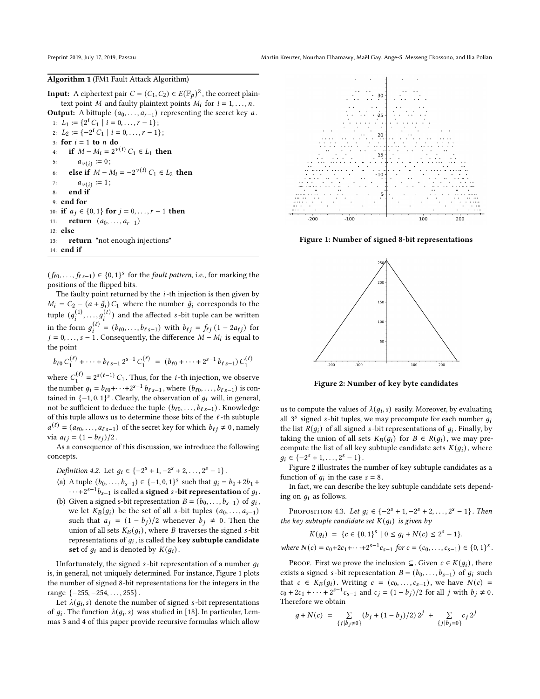#### <span id="page-3-0"></span>Algorithm 1 (FM1 Fault Attack Algorithm)

**Input:** A ciphertext pair  $C = (C_1, C_2) \in E(\mathbb{F}_p)^2$ , the correct plaintext point *M* and faulty plaintext points  $M_i$  for  $i = 1, \ldots, n$ .

**Output:** A bittuple  $(a_0, \ldots, a_{r-1})$  representing the secret key a. 1:  $L_1 := \{2^i C_1 \mid i = 0, \ldots, r - 1\};$ 2:  $L_2 := \{-2^i C_1 \mid i = 0, \ldots, r - 1\};$ 3: for  $i = 1$  to  $n$  do 4: if  $M - M_i = 2^{\nu(i)} C_1 \in L_1$  then 5:  $a_{\nu(i)} := 0;$ 6: **else if**  $M - M_i = -2^{\nu(i)} C_1 \in L_2$  then 7:  $a_{v(i)} := 1;$ 8: end if 9: end for 10: if  $a_j \in \{0, 1\}$  for  $j = 0, \ldots, r - 1$  then 11: **return**  $(a_0, \ldots, a_{r-1})$ 12: else 13: return "not enough injections" 14: end if

 $(f_{\ell 0},..., f_{\ell s-1}) \in \{0,1\}^s$  for the *fault pattern*, i.e., for marking the positions of the flipped bits.

The faulty point returned by the  $i$ -th injection is then given by  $M_i = C_2 - (a + \tilde{g}_i) C_1$  where the number  $\tilde{g}_i$  corresponds to the tuple  $(g_i^{(1)},...,g_i^{(t)})$  and the affected *s*-bit tuple can be written in the form  $g_i^{(\ell)} = (b_{\ell 0}, \ldots, b_{\ell s-1})$  with  $b_{\ell j} = f_{\ell j} (1 - 2 a_{\ell j})$  for  $j = 0, \ldots, s - 1$ . Consequently, the difference  $M - M_i$  is equal to the point

$$
b_{\ell 0} C_1^{(\ell)} + \cdots + b_{\ell s - 1} 2^{s-1} C_1^{(\ell)} = (b_{\ell 0} + \cdots + 2^{s-1} b_{\ell s - 1}) C_1^{(\ell)}
$$

where  $C_1^{(\ell)} = 2^{s(\ell-1)} C_1$ . Thus, for the *i*-th injection, we observe the number  $g_i = b_{\ell 0} + \cdots + 2^{s-1} b_{\ell s-1}$ , where  $(b_{\ell 0}, \ldots, b_{\ell s-1})$  is contained in  $\{-1, 0, 1\}^s$ . Clearly, the observation of  $g_i$  will, in general, not be sufficient to deduce the tuple  $(b_{\ell 0}, \ldots, b_{\ell s-1})$ . Knowledge of this tuple allows us to determine those bits of the ℓ -th subtuple  $a^{(\ell)} = (a_{\ell 0}, \ldots, a_{\ell s-1})$  of the secret key for which  $b_{\ell j} \neq 0$ , namely via  $a_{\ell j} = (1 - b_{\ell j})/2$ .

As a consequence of this discussion, we introduce the following concepts.

Definition 4.2. Let  $g_i \in \{-2^s + 1, -2^s + 2, \ldots, 2^s - 1\}$ .

- (a) A tuple  $(b_0, ..., b_{s-1}) \in \{-1, 0, 1\}^s$  such that  $g_i = b_0 + 2b_1 +$  $\cdots+2^{s-1}b_{s-1}$  is called a **signed** s-bit representation of  $g_i$ .
- (b) Given a signed s-bit representation  $B = (b_0, \ldots, b_{s-1})$  of  $g_i$ , we let  $K_B(g_i)$  be the set of all *s*-bit tuples  $(a_0, \ldots, a_{s-1})$ such that  $a_j = (1 - b_j)/2$  whenever  $b_j \neq 0$ . Then the union of all sets  $K_B(q_i)$ , where B traverses the signed *s*-bit representations of  $g_i$ , is called the **key subtuple candidate** set of  $q_i$  and is denoted by  $K(q_i)$ .

Unfortunately, the signed  $s$ -bit representation of a number  $q_i$ is, in general, not uniquely determined. For instance, Figure [1](#page-3-1) plots the number of signed 8-bit representations for the integers in the range {−255, −254, . . . , 255} .

Let  $\lambda(q_i, s)$  denote the number of signed s-bit representations of  $g_i$ . The function  $\lambda(g_i, s)$  was studied in [\[18\]](#page-8-26). In particular, Lemmas 3 and 4 of this paper provide recursive formulas which allow

<span id="page-3-1"></span>

<span id="page-3-2"></span>Figure 1: Number of signed 8-bit representations



Figure 2: Number of key byte candidates

us to compute the values of  $\lambda(q_i, s)$  easily. Moreover, by evaluating all  $3^s$  signed s-bit tuples, we may precompute for each number  $q_i$ the list  $R(q_i)$  of all signed *s*-bit representations of  $q_i$ . Finally, by taking the union of all sets  $K_B(g_i)$  for  $B \in R(g_i)$ , we may precompute the list of all key subtuple candidate sets  $K(g_i)$ , where  $q_i \in \{-2^s + 1, \ldots, 2^s - 1\}.$ 

Figure [2](#page-3-2) illustrates the number of key subtuple candidates as a function of  $g_i$  in the case  $s = 8$ .

In fact, we can describe the key subtuple candidate sets depending on  $q_i$  as follows.

<span id="page-3-3"></span>PROPOSITION 4.3. Let  $g_i \in \{-2^s + 1, -2^s + 2, \ldots, 2^s - 1\}$ . Then the key subtuple candidate set  $K(g_i)$  is given by

$$
K(g_i) = \{c \in \{0,1\}^s \mid 0 \le g_i + N(c) \le 2^s - 1\}.
$$

where  $N(c) = c_0 + 2c_1 + \cdots + 2^{s-1}c_{s-1}$  for  $c = (c_0, \ldots, c_{s-1}) \in \{0, 1\}^s$ .

PROOF. First we prove the inclusion  $\subseteq$ . Given  $c \in K(g_i)$ , there exists a signed *s*-bit representation  $B = (b_0, \ldots, b_{s-1})$  of  $g_i$  such that  $c \in K_B(g_i)$ . Writing  $c = (c_0, \ldots, c_{s-1})$ , we have  $N(c)$  =  $c_0 + 2c_1 + \cdots + 2^{s-1}c_{s-1}$  and  $c_j = (1-b_j)/2$  for all j with  $b_j \neq 0$ . Therefore we obtain

$$
g + N(c) = \sum_{\{j \mid b_j \neq 0\}} (b_j + (1 - b_j)/2) 2^j + \sum_{\{j \mid b_j = 0\}} c_j 2^j
$$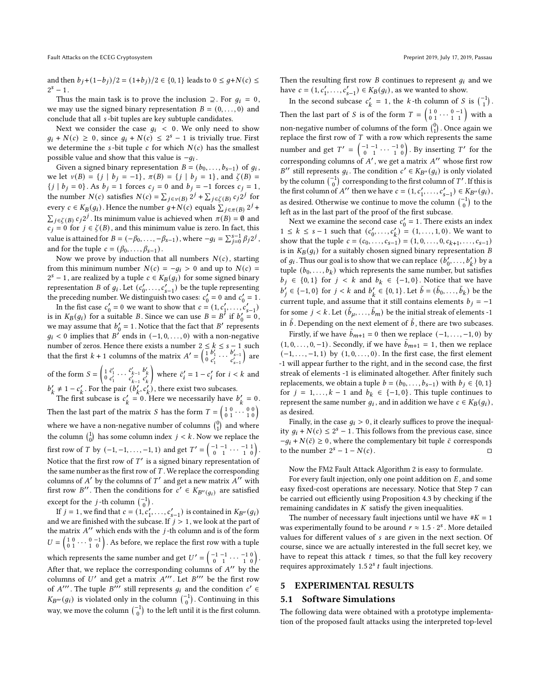and then  $b_j + (1-b_j)/2 = (1+b_j)/2 \in \{0, 1\}$  leads to  $0 \leq g+N(c) \leq$  $2^s - 1$ .

Thus the main task is to prove the inclusion  $\supseteq$ . For  $q_i = 0$ , we may use the signed binary representation  $B = (0, \ldots, 0)$  and conclude that all  $s$ -bit tuples are key subtuple candidates.

Next we consider the case  $g_i$  < 0. We only need to show  $q_i + N(c) \ge 0$ , since  $q_i + N(c) \le 2^s - 1$  is trivially true. First we determine the *s*-bit tuple  $c$  for which  $N(c)$  has the smallest possible value and show that this value is  $-q_i$ .

Given a signed binary representation  $B = (b_0, \ldots, b_{s-1})$  of  $g_i$ , we let  $v(B) = \{ j | b_j = -1 \}$ ,  $\pi(B) = \{ j | b_j = 1 \}$ , and  $\zeta(B) =$  $\{j \mid b_j = 0\}$ . As  $b_j = 1$  forces  $c_j = 0$  and  $b_j = -1$  forces  $c_j = 1$ , the number  $N(c)$  satisfies  $N(c) = \sum_{j \in V(B)} 2^{j} + \sum_{j \in \zeta(B)} c_{j} 2^{j}$  for every  $c \in K_B(g_i)$ . Hence the number  $g+N(c)$  equals  $\sum_{j \in \pi(B)} 2^j$  +  $\sum_{j \in \zeta(B)} c_j 2^j$ . Its minimum value is achieved when  $\pi(B) = \emptyset$  and  $c_j = 0$  for  $j \in \zeta(B)$ , and this minimum value is zero. In fact, this value is attained for  $B = (-\beta_0, \ldots, -\beta_{s-1})$ , where  $-g_i = \sum_{j=0}^{s-1} \beta_j 2^j$ , and for the tuple  $c = (\beta_0, \dots, \beta_{s-1})$ .

Now we prove by induction that all numbers  $N(c)$ , starting from this minimum number  $N(c) = -g_i > 0$  and up to  $N(c) =$  $2^{s} - 1$ , are realized by a tuple  $c \in K_B(g_i)$  for some signed binary representation *B* of  $g_i$ . Let  $(c'_0, \ldots, c'_{s-1})$  be the tuple representing the preceding number. We distinguish two cases:  $c'_0 = 0$  and  $c'_0 = 1$ .

In the fist case  $c'_0 = 0$  we want to show that  $c = (1, c'_1, ..., c'_{s-1})$ is in  $K_B(g_i)$  for a suitable B. Since we can use  $B = B^{\prime}$  if  $b'_0 = 0$ , we may assume that  $b'_0 = 1$ . Notice that the fact that B' represents  $q_i < 0$  implies that B' ends in  $(-1, 0, \ldots, 0)$  with a non-negative number of zeros. Hence there exists a number  $2 \leq k \leq s - 1$  such that the first  $k + 1$  columns of the matrix  $A' = \begin{pmatrix} 1 & b'_1 & b'_s \\ 0 & c'_1 & c'_{s-1} \end{pmatrix}$ ) are

of the form  $S = \begin{pmatrix} 1 & \vec{c}'_1 & \cdots & \vec{c}'_{k-1} \\ 0 & c'_1 & & c'_{k-1} \end{pmatrix}$  $b'_k$ <sub>c</sub> $c'_k$ where  $\bar{c}'_i = 1 - c'_i$  for  $i < k$  and  $b'_k \neq 1 - c'_k$ . For the pair  $(b'_k, c'_k)$ , there exist two subcases.

The first subcase is  $c'_k = 0$ . Here we necessarily have  $b'_k = 0$ . Then the last part of the matrix *S* has the form  $T = \begin{pmatrix} 1 & 0 & 0 & 0 \\ 0 & 1 & 0 & 1 \\ 0 & 0 & 1 & 0 \end{pmatrix}$ where we have a non-negative number of columns  $\begin{pmatrix} 0 \\ 1 \end{pmatrix}$  and where the column  $\begin{pmatrix} 1 \\ 0 \end{pmatrix}$  has some column index  $j < k$ . Now we replace the first row of T by  $(-1, -1, \ldots, -1, 1)$  and get  $T' = \begin{pmatrix} -1 & -1 & \cdots & -1 & 1 \\ 0 & 1 & \cdots & 1 & 0 \end{pmatrix}$ . Notice that the first row of  $T'$  is a signed binary representation of the same number as the first row of  $T$ . We replace the corresponding columns of A' by the columns of T' and get a new matrix  $A''$  with first row B''. Then the conditions for  $c' \in K_{B''(q_i)}$  are satisfied except for the *j*-th column  $\begin{pmatrix} -1 \\ 0 \end{pmatrix}$ .

If  $j = 1$ , we find that  $c = (1, c'_1, \ldots, c'_{s-1})$  is contained in  $K_{B''}(g_i)$ and we are finished with the subcase. If  $i > 1$ , we look at the part of the matrix  $A''$  which ends with the *i*-th column and is of the form  $U = \begin{pmatrix} 1 & 0 & \cdots & 0 & -1 \\ 0 & 1 & \cdots & 1 & 0 \end{pmatrix}$ . As before, we replace the first row with a tuple which represents the same number and get  $U' = \begin{pmatrix} -1 & -1 & \cdots & -1 & 0 \\ 0 & 1 & \cdots & 1 & 0 \end{pmatrix}$ . After that, we replace the corresponding columns of  $A''$  by the columns of U' and get a matrix  $A'''$ . Let B''' be the first row of A'''. The tuple B''' still represents  $q_i$  and the condition  $c' \in$  $K_{B'''}(g_i)$  is violated only in the column  $\begin{pmatrix} -1 \\ 0 \end{pmatrix}$ . Continuing in this way, we move the column  $\begin{pmatrix} -1 \\ 0 \end{pmatrix}$  to the left until it is the first column. Then the resulting first row  $B$  continues to represent  $q_i$  and we have  $c = (1, c'_1, ..., c'_{s-1}) \in K_B(g_i)$ , as we wanted to show.

In the second subcase  $c'_k = 1$ , the k-th column of S is  $\binom{-1}{1}$ . Then the last part of S is of the form  $T = \begin{pmatrix} 1 & 0 & \cdots & 0 & -1 \\ 0 & 1 & \cdots & 1 & 1 \end{pmatrix}$  with a non-negative number of columns of the form  $\binom{0}{1}$ . Once again we replace the first row of  $T$  with a row which represents the same number and get  $T' = \begin{pmatrix} -1 & -1 & 0 \\ 0 & 1 & 0 \end{pmatrix}$ . By inserting T' for the corresponding columns of A', we get a matrix A'' whose first row B'' still represents  $q_i$ . The condition  $c' \in K_{B''}(q_i)$  is only violated by the column  $\begin{pmatrix} -1 \\ 0 \end{pmatrix}$  corresponding to the first column of T'. If this is the first column of A'' then we have  $c = (1, c'_1, \ldots, c'_{s-1}) \in K_{B''}(g_i)$ , as desired. Otherwise we continue to move the column  $\begin{pmatrix} -1 \\ 0 \end{pmatrix}$  to the left as in the last part of the proof of the first subcase.

Next we examine the second case  $c'_0 = 1$ . There exists an index  $1 \leq k \leq s-1$  such that  $(c'_0, \ldots, c'_k) = (1, \ldots, 1, 0)$ . We want to show that the tuple  $c = (c_0, \ldots, c_{s-1}) = (1, 0, \ldots, 0, c_{k+1}, \ldots, c_{s-1})$ is in  $K_B(q_i)$  for a suitably chosen signed binary representation B of  $g_i$ . Thus our goal is to show that we can replace  $(\tilde{b}'_0, \ldots, b'_k)$  by a tuple  $(b_0, \ldots, b_k)$  which represents the same number, but satisfies  $b_j$  ∈ {0, 1} for  $j < k$  and  $b_k$  ∈ {-1, 0}. Notice that we have  $b'_j$  ∈ {-1, 0} for  $j < k$  and  $b'_k$  ∈ {0, 1}. Let  $\tilde{b} = (\tilde{b}_0, ..., \tilde{b}_k)$  be the current tuple, and assume that it still contains elements  $b_j = -1$ for some  $j < k$ . Let  $(\tilde{b}_u, \ldots, \tilde{b}_m)$  be the initial streak of elements -1 in  $\tilde{b}$ . Depending on the next element of  $\tilde{b}$ , there are two subcases.

Firstly, if we have  $\tilde{b}_{m+1} = 0$  then we replace  $(-1, \ldots, -1, 0)$  by  $(1, 0, \ldots, 0, -1)$ . Secondly, if we have  $\tilde{b}_{m+1} = 1$ , then we replace  $(-1, \ldots, -1, 1)$  by  $(1, 0, \ldots, 0)$ . In the first case, the first element -1 will appear further to the right, and in the second case, the first streak of elements -1 is eliminated altogether. After finitely such replacements, we obtain a tuple  $b = (b_0, \ldots, b_{s-1})$  with  $b_j \in \{0, 1\}$ for  $j = 1, ..., k - 1$  and  $b_k \in \{-1, 0\}$ . This tuple continues to represent the same number  $q_i$ , and in addition we have  $c \in K_B(q_i)$ , as desired.

Finally, in the case  $q_i > 0$ , it clearly suffices to prove the inequality  $q_i + N(c) \leq 2^s - 1$ . This follows from the previous case, since  $-g_i + N(\bar{c}) \ge 0$ , where the complementary bit tuple  $\bar{c}$  corresponds to the number  $2^s - 1 - N(c)$ .

Now the FM2 Fault Attack Algorithm [2](#page-5-0) is easy to formulate.

For every fault injection, only one point addition on  $E$ , and some easy fixed-cost operations are necessary. Notice that Step 7 can be carried out efficiently using Proposition [4.3](#page-3-3) by checking if the remaining candidates in  $K$  satisfy the given inequalities.

The number of necessary fault injections until we have  $\# K = 1$ was experimentally found to be around  $r \approx 1.5 \cdot 2^s$ . More detailed values for different values of s are given in the next section. Of course, since we are actually interested in the full secret key, we have to repeat this attack  $t$  times, so that the full key recovery requires approximately 1.5  $2<sup>s</sup> t$  fault injections.

#### <span id="page-4-0"></span>5 EXPERIMENTAL RESULTS

#### 5.1 Software Simulations

The following data were obtained with a prototype implementation of the proposed fault attacks using the interpreted top-level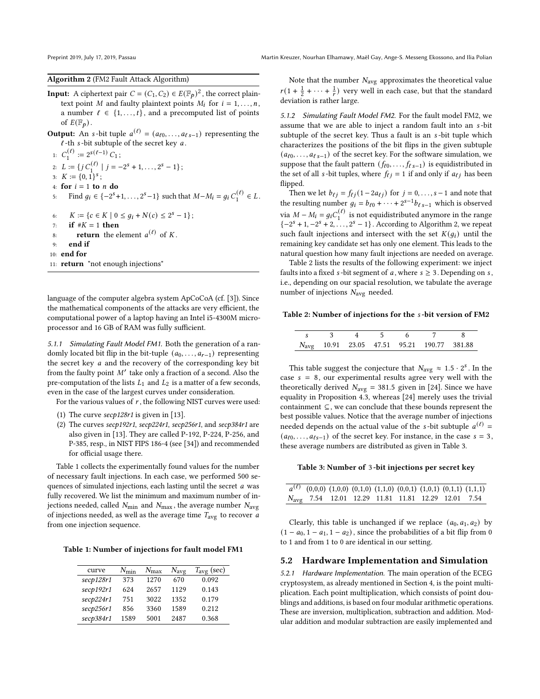#### <span id="page-5-0"></span>Algorithm 2 (FM2 Fault Attack Algorithm)

**Input:** A ciphertext pair  $C = (C_1, C_2) \in E(\mathbb{F}_p)^2$ , the correct plaintext point *M* and faulty plaintext points  $M_i$  for  $i = 1, \ldots, n$ , a number  $\ell \in \{1, \ldots, t\}$ , and a precomputed list of points of  $E(\mathbb{F}_p)$ .

**Output:** An *s*-bit tuple  $a^{(\ell)} = (a_{\ell 0}, \ldots, a_{\ell s-1})$  representing the  $l$ -th s-bit subtuple of the secret key  $a$ .

1:  $C_1^{(\ell)} := 2^{s(\ell-1)} C_1;$ 2:  $L := \{ j C_1^{(\ell)} \mid j = -2^s + 1, \ldots, 2^s - 1 \};$ 3:  $K := \{0, 1\}^s$ ; 4: for  $i = 1$  to  $n$  do 5: Find  $g_i \in \{-2^s+1,\ldots,2^s-1\}$  such that  $M-M_i = g_i C_1^{(\ell)} \in L$ . 6:  $K := \{c \in K \mid 0 \le g_i + N(c) \le 2^s - 1\};$ 7: if  $#K = 1$  then 8: **return** the element  $a^{(\ell)}$  of K.

9: end if

10: end for 11: return "not enough injections"

language of the computer algebra system ApCoCoA (cf. [\[3\]](#page-7-10)). Since the mathematical components of the attacks are very efficient, the computational power of a laptop having an Intel i5-4300M microprocessor and 16 GB of RAM was fully sufficient.

5.1.1 Simulating Fault Model FM1. Both the generation of a randomly located bit flip in the bit-tuple  $(a_0, \ldots, a_{r-1})$  representing the secret key  $a$  and the recovery of the corresponding key bit from the faulty point  $M'$  take only a fraction of a second. Also the pre-computation of the lists  $L_1$  and  $L_2$  is a matter of a few seconds, even in the case of the largest curves under consideration.

For the various values of  $r$ , the following NIST curves were used:

- (1) The curve  $\frac{\sec p}{28r1}$  is given in [\[13\]](#page-8-27).
- (2) The curves secp192r1, secp224r1, secp256r1, and secp384r1 are also given in [\[13\]](#page-8-27). They are called P-192, P-224, P-256, and P-385, resp., in NIST FIPS 186-4 (see [\[34\]](#page-8-28)) and recommended for official usage there.

Table [1](#page-5-1) collects the experimentally found values for the number of necessary fault injections. In each case, we performed 500 sequences of simulated injections, each lasting until the secret  $a$  was fully recovered. We list the minimum and maximum number of injections needed, called  $N_{\text{min}}$  and  $N_{\text{max}}$ , the average number  $N_{\text{avg}}$ of injections needed, as well as the average time  $T_{\rm avg}$  to recover  $a$ from one injection sequence.

<span id="page-5-1"></span>Table 1: Number of injections for fault model FM1

| curve     | $N_{\rm min}$ | $N_{\rm max}$ | $N_{\rm avg}$ | $T_{\rm avg}$ (sec) |
|-----------|---------------|---------------|---------------|---------------------|
| secp128r1 | 373           | 1270          | 670           | 0.092               |
| secp192r1 | 624           | 2657          | 1129          | 0.143               |
| secp224r1 | 751           | 3022          | 1352          | 0.179               |
| secp256r1 | 856           | 3360          | 1589          | 0.212               |
| secp384r1 | 1589          | 5001          | 2487          | 0.368               |

Note that the number  $N_{\text{avg}}$  approximates the theoretical value  $r(1+\frac{1}{2}+\cdots+\frac{1}{r})$  very well in each case, but that the standard deviation is rather large.

5.1.2 Simulating Fault Model FM2. For the fault model FM2, we assume that we are able to inject a random fault into an s-bit subtuple of the secret key. Thus a fault is an s-bit tuple which characterizes the positions of the bit flips in the given subtuple  $(a_{\ell 0},...,a_{\ell s-1})$  of the secret key. For the software simulation, we suppose that the fault pattern  $(f_{\ell 0}, \ldots, f_{\ell s-1})$  is equidistributed in the set of all *s*-bit tuples, where  $f_{\ell j} = 1$  if and only if  $a_{\ell j}$  has been flipped.

Then we let  $b_{\ell j} = f_{\ell j} (1 - 2a_{\ell j})$  for  $j = 0, \ldots, s - 1$  and note that the resulting number  $g_i = b_{\ell 0} + \cdots + 2^{s-1} b_{\ell s-1}$  which is observed via  $M - M_i = g_i C_1^{(\ell)}$  is not equidistributed anymore in the range  $\{-2^s + 1, -2^s + 2, \ldots, 2^s - 1\}$  $\{-2^s + 1, -2^s + 2, \ldots, 2^s - 1\}$  $\{-2^s + 1, -2^s + 2, \ldots, 2^s - 1\}$ . According to Algorithm 2, we repeat such fault injections and intersect with the set  $K(q_i)$  until the remaining key candidate set has only one element. This leads to the natural question how many fault injections are needed on average.

Table [2](#page-5-2) lists the results of the following experiment: we inject faults into a fixed *s*-bit segment of *a*, where  $s \geq 3$ . Depending on *s*, i.e., depending on our spacial resolution, we tabulate the average number of injections  $N_{\text{avg}}$  needed.

#### <span id="page-5-2"></span>Table 2: Number of injections for the s-bit version of FM2

|  |  | N <sub>avg</sub> 10.91 23.05 47.51 95.21 190.77 381.88 |  |
|--|--|--------------------------------------------------------|--|

This table suggest the conjecture that  $N_{\text{avg}} \approx 1.5 \cdot 2^s$ . In the case  $s = 8$ , our experimental results agree very well with the theoretically derived  $N_{\text{avg}} = 381.5$  given in [\[24\]](#page-8-11). Since we have equality in Proposition [4.3,](#page-3-3) whereas [\[24\]](#page-8-11) merely uses the trivial containment ⊆, we can conclude that these bounds represent the best possible values. Notice that the average number of injections needed depends on the actual value of the *s*-bit subtuple  $a^{(\ell)}$  =  $(a_{\ell 0}, \ldots, a_{\ell s-1})$  of the secret key. For instance, in the case  $s = 3$ , these average numbers are distributed as given in Table [3.](#page-5-3)

#### <span id="page-5-3"></span>Table 3: Number of 3-bit injections per secret key

|                                                                |  |  |  | $a^{(\ell)}$ (0,0,0) (1,0,0) (0,1,0) (1,1,0) (0,0,1) (1,0,1) (0,1,1) (1,1,1) |
|----------------------------------------------------------------|--|--|--|------------------------------------------------------------------------------|
| $N_{\text{avg}}$ 7.54 12.01 12.29 11.81 11.81 12.29 12.01 7.54 |  |  |  |                                                                              |

Clearly, this table is unchanged if we replace  $(a_0, a_1, a_2)$  by  $(1 - a_0, 1 - a_1, 1 - a_2)$ , since the probabilities of a bit flip from 0 to 1 and from 1 to 0 are identical in our setting.

#### 5.2 Hardware Implementation and Simulation

5.2.1 Hardware Implementation. The main operation of the ECEG cryptosystem, as already mentioned in Section [4,](#page-2-1) is the point multiplication. Each point multiplication, which consists of point doublings and additions, is based on four modular arithmetic operations. These are inversion, multiplication, subtraction and addition. Modular addition and modular subtraction are easily implemented and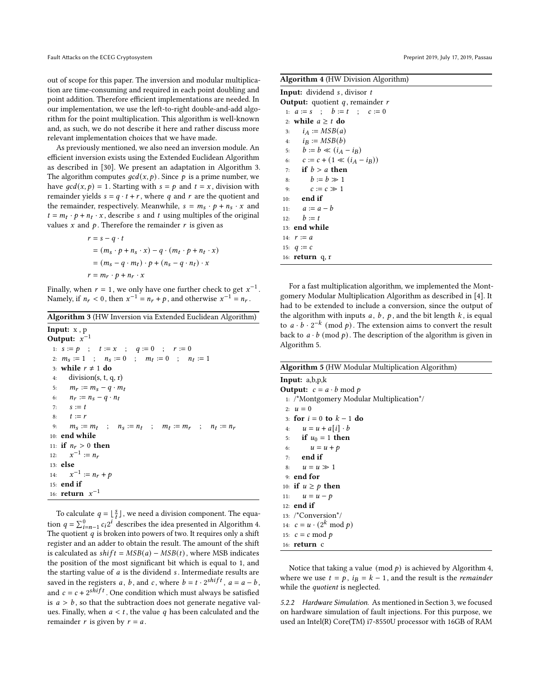out of scope for this paper. The inversion and modular multiplication are time-consuming and required in each point doubling and point addition. Therefore efficient implementations are needed. In our implementation, we use the left-to-right double-and-add algorithm for the point multiplication. This algorithm is well-known and, as such, we do not describe it here and rather discuss more relevant implementation choices that we have made.

As previously mentioned, we also need an inversion module. An efficient inversion exists using the Extended Euclidean Algorithm as described in [\[30\]](#page-8-29). We present an adaptation in Algorithm [3.](#page-6-0) The algorithm computes  $\gcd(x, p)$ . Since p is a prime number, we have  $gcd(x, p) = 1$ . Starting with  $s = p$  and  $t = x$ , division with remainder yields  $s = q \cdot t + r$ , where q and r are the quotient and the remainder, respectively. Meanwhile,  $s = m_s \cdot p + n_s \cdot x$  and  $t = m_t \cdot p + n_t \cdot x$ , describe s and t using multiples of the original values  $x$  and  $p$ . Therefore the remainder  $r$  is given as

$$
r = s - q \cdot t
$$
  
=  $(m_s \cdot p + n_s \cdot x) - q \cdot (m_t \cdot p + n_t \cdot x)$   
=  $(m_s - q \cdot m_t) \cdot p + (n_s - q \cdot n_t) \cdot x$   
 $r = m_r \cdot p + n_r \cdot x$ 

Finally, when  $r = 1$ , we only have one further check to get  $x^{-1}$ . Namely, if  $n_r < 0$ , then  $x^{-1} = n_r + p$ , and otherwise  $x^{-1} = n_r$ .

#### <span id="page-6-0"></span>Algorithm 3 (HW Inversion via Extended Euclidean Algorithm)

Input: x , p Output:  $x^{-1}$  $\begin{array}{cccc} \textbf{1:} & s:=p & ; & t:=x & ; & q:=0 & ; & r:=0 \end{array}$ 2:  $m_s := 1$  ;  $n_s := 0$  ;  $m_t := 0$  ;  $n_t := 1$ 3: while  $r \neq 1$  do 4: division(s, t, q, r) 5:  $m_r := m_s - q \cdot m_t$ 6:  $n_r := n_s - q \cdot n_t$ 7:  $s := t$ 8:  $t := r$ 9:  $m_S := m_t$  ;  $n_S := n_t$  ;  $m_t := m_r$  ;  $n_t := n_r$ 10: end while 11: if  $n_r > 0$  then 12:  $x^{-1} := n_r$ 13: else 14:  $-1 := n_r + p$ 15: end if 16: **return**  $x^{-1}$ 

To calculate  $q = \lfloor \frac{s}{t} \rfloor$ , we need a division component. The equation  $q = \sum_{i=n-1}^{0} c_i 2^i$  describes the idea presented in Algorithm [4.](#page-6-1) The quotient  $q$  is broken into powers of two. It requires only a shift register and an adder to obtain the result. The amount of the shift is calculated as  $shift = MSB(a) - MSB(t)$ , where MSB indicates the position of the most significant bit which is equal to 1, and the starting value of  $a$  is the dividend  $s$ . Intermediate results are saved in the registers a, b, and c, where  $b = t \cdot 2^{shift}$ ,  $a = a - b$ , and  $c = c + 2^{shift}$ . One condition which must always be satisfied is  $a > b$ , so that the subtraction does not generate negative values. Finally, when  $a < t$ , the value q has been calculated and the remainder  $r$  is given by  $r = a$ .

<span id="page-6-1"></span>Algorithm 4 (HW Division Algorithm)

| <b>Input:</b> dividend $s$ , divisor $t$ |
|------------------------------------------|
| <b>Output:</b> quotient q, remainder $r$ |
| 1: $a := s$ ; $b := t$ ; $c := 0$        |
| 2: while $a \geq t$ do                   |
| 3: $i_A := MSB(a)$                       |
| 4: $i_{\rm B} := MSB(b)$                 |
| 5: $b := b \ll (i_A - i_B)$              |
| 6: $c := c + (1 \ll (i_A - i_B))$        |
| 7: if $b > a$ then                       |
| 8: $b := b \gg 1$                        |
| $c := c \gg 1$<br>9:                     |
| $10:$ end if                             |
| 11: $a := a - b$                         |
| 12: $b := t$                             |
| 13: end while                            |
| 14: $r := a$                             |
| 15: $q := c$                             |
| 16: <b>return</b> q, r                   |

For a fast multiplication algorithm, we implemented the Montgomery Modular Multiplication Algorithm as described in [\[4\]](#page-7-11). It had to be extended to include a conversion, since the output of the algorithm with inputs  $a, b, p$ , and the bit length  $k$ , is equal to  $\alpha \cdot b \cdot 2^{-k}$  (mod p). The extension aims to convert the result back to  $a \cdot b \pmod{p}$ . The description of the algorithm is given in Algorithm [5.](#page-6-2)

<span id="page-6-2"></span>

|  |  |  |  | Algorithm 5 (HW Modular Multiplication Algorithm) |  |
|--|--|--|--|---------------------------------------------------|--|
|--|--|--|--|---------------------------------------------------|--|

Input: a,b,p,k **Output:**  $c = a \cdot b \mod p$ 1: /\*Montgomery Modular Multiplication\*/  $2: u = 0$ 3: for  $i = 0$  to  $k - 1$  do 4:  $u = u + a[i] \cdot b$ 5: if  $u_0 = 1$  then 6:  $u = u + p$ 7: end if 8:  $u = u \gg 1$ 9: end for 10: if  $u \geq p$  then 11:  $u = u - p$ 12: end if 13: /\*Conversion\*/ 14:  $c = u \cdot (2^k \mod p)$ 15:  $c = c \mod p$ 16: return c

Notice that taking a value (mod  $p$ ) is achieved by Algorithm [4,](#page-6-1) where we use  $t = p$ ,  $i = k - 1$ , and the result is the *remainder* while the *quotient* is neglected.

5.2.2 Hardware Simulation. As mentioned in Section [3,](#page-2-0) we focused on hardware simulation of fault injections. For this purpose, we used an Intel(R) Core(TM) i7-8550U processor with 16GB of RAM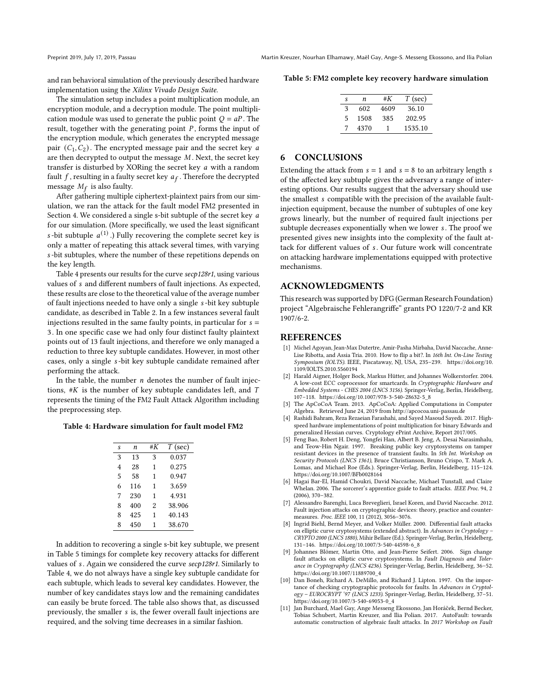and ran behavioral simulation of the previously described hardware implementation using the Xilinx Vivado Design Suite.

The simulation setup includes a point multiplication module, an encryption module, and a decryption module. The point multiplication module was used to generate the public point  $Q = aP$ . The result, together with the generating point  $P$ , forms the input of the encryption module, which generates the encrypted message pair  $(C_1, C_2)$ . The encrypted message pair and the secret key a are then decrypted to output the message  $M$ . Next, the secret key transfer is disturbed by XORing the secret key *a* with a random fault  $f$ , resulting in a faulty secret key  $a_f$ . Therefore the decrypted message  $M_f$  is also faulty.

After gathering multiple ciphertext-plaintext pairs from our simulation, we ran the attack for the fault model FM2 presented in Section [4.](#page-2-1) We considered a single s-bit subtuple of the secret key a for our simulation. (More specifically, we used the least significant s-bit subtuple  $a^{(1)}$ .) Fully recovering the complete secret key is only a matter of repeating this attack several times, with varying -bit subtuples, where the number of these repetitions depends on the key length.

Table [4](#page-7-12) presents our results for the curve secp128r1, using various values of s and different numbers of fault injections. As expected, these results are close to the theoretical value of the average number of fault injections needed to have only a single  $s$ -bit key subtuple candidate, as described in Table [2.](#page-5-2) In a few instances several fault injections resulted in the same faulty points, in particular for  $s =$ 3. In one specific case we had only four distinct faulty plaintext points out of 13 fault injections, and therefore we only managed a reduction to three key subtuple candidates. However, in most other cases, only a single s-bit key subtuple candidate remained after performing the attack.

In the table, the number  $n$  denotes the number of fault injections,  $#K$  is the number of key subtuple candidates left, and  $T$ represents the timing of the FM2 Fault Attack Algorithm including the preprocessing step.

#### <span id="page-7-12"></span>Table 4: Hardware simulation for fault model FM2

| S | n   | #K             | $T$ (sec) |
|---|-----|----------------|-----------|
| 3 | 13  | 3              | 0.037     |
| 4 | 28  | 1              | 0.275     |
| 5 | 58  | 1              | 0.947     |
| 6 | 116 | 1              | 3.659     |
| 7 | 230 | 1              | 4.931     |
| 8 | 400 | $\overline{2}$ | 38.906    |
| 8 | 425 | 1              | 40.143    |
| 8 | 450 | 1              | 38.670    |

In addition to recovering a single s-bit key subtuple, we present in Table [5](#page-7-13) timings for complete key recovery attacks for different values of s. Again we considered the curve secp128r1. Similarly to Table [4,](#page-7-12) we do not always have a single key subtuple candidate for each subtuple, which leads to several key candidates. However, the number of key candidates stays low and the remaining candidates can easily be brute forced. The table also shows that, as discussed previously, the smaller  $s$  is, the fewer overall fault injections are required, and the solving time decreases in a similar fashion.

<span id="page-7-13"></span>Table 5: FM2 complete key recovery hardware simulation

| S. | n    | #K   | $T$ (sec) |
|----|------|------|-----------|
| Κ  | 602  | 4609 | 36.10     |
| 5  | 1508 | 385  | 202.95    |
|    | 4370 |      | 1535.10   |

### <span id="page-7-7"></span>6 CONCLUSIONS

Extending the attack from  $s = 1$  and  $s = 8$  to an arbitrary length s of the affected key subtuple gives the adversary a range of interesting options. Our results suggest that the adversary should use the smallest *s* compatible with the precision of the available faultinjection equipment, because the number of subtuples of one key grows linearly, but the number of required fault injections per subtuple decreases exponentially when we lower s. The proof we presented gives new insights into the complexity of the fault attack for different values of s. Our future work will concentrate on attacking hardware implementations equipped with protective mechanisms.

## ACKNOWLEDGMENTS

This research was supported by DFG (German Research Foundation) project "Algebraische Fehlerangriffe" grants PO 1220/7-2 and KR 1907/6-2.

#### REFERENCES

- <span id="page-7-9"></span>[1] Michel Agoyan, Jean-Max Dutertre, Amir-Pasha Mirbaha, David Naccache, Anne-Lise Ribotta, and Assia Tria. 2010. How to flip a bit?. In 16th Int. On-Line Testing Symposium (IOLTS). IEEE, Piscataway, NJ, USA, 235–239. [https://doi.org/10.](https://doi.org/10.1109/IOLTS.2010.5560194) [1109/IOLTS.2010.5560194](https://doi.org/10.1109/IOLTS.2010.5560194)
- <span id="page-7-8"></span>[2] Harald Aigner, Holger Bock, Markus Hütter, and Johannes Wolkerstorfer. 2004. A low-cost ECC coprocessor for smartcards. In Cryptographic Hardware and Embedded Systems - CHES 2004 (LNCS 3156). Springer-Verlag, Berlin, Heidelberg, 107–118. [https://doi.org/10.1007/978-3-540-28632-5\\_8](https://doi.org/10.1007/978-3-540-28632-5_8)
- <span id="page-7-10"></span>[3] The ApCoCoA Team. 2013. ApCoCoA: Applied Computations in Computer Algebra. Retrieved June 24, 2019 from<http://apcocoa.uni-passau.de>
- <span id="page-7-11"></span>[4] Rashidi Bahram, Reza Rezaeian Farashahi, and Sayed Masoud Sayedi. 2017. Highspeed hardware implementations of point multiplication for binary Edwards and generalized Hessian curves. Cryptology ePrint Archive, Report 2017/005.
- <span id="page-7-4"></span>[5] Feng Bao, Robert H. Deng, Yongfei Han, Albert B. Jeng, A. Desai Narasimhalu, and Teow-Hin Ngair. 1997. Breaking public key cryptosystems on tamper resistant devices in the presence of transient faults. In 5th Int. Workshop on Security Protocols (LNCS 1361), Bruce Christianson, Bruno Crispo, T. Mark A. Lomas, and Michael Roe (Eds.). Springer-Verlag, Berlin, Heidelberg, 115–124. <https://doi.org/10.1007/BFb0028164>
- <span id="page-7-6"></span>[6] Hagai Bar-El, Hamid Choukri, David Naccache, Michael Tunstall, and Claire Whelan. 2006. The sorcerer's apprentice guide to fault attacks. IEEE Proc. 94, 2 (2006), 370–382.
- <span id="page-7-0"></span>[7] Alessandro Barenghi, Luca Breveglieri, Israel Koren, and David Naccache. 2012. Fault injection attacks on cryptographic devices: theory, practice and countermeasures. Proc. IEEE 100, 11 (2012), 3056–3076.
- <span id="page-7-2"></span>[8] Ingrid Biehl, Bernd Meyer, and Volker Müller. 2000. Differential fault attacks on elliptic curve cryptosystems (extended abstract). In Advances in Cryptology – CRYPTO 2000 (LNCS 1880), Mihir Bellare (Ed.). Springer-Verlag, Berlin, Heidelberg, 131–146. [https://doi.org/10.1007/3-540-44598-6\\_8](https://doi.org/10.1007/3-540-44598-6_8)
- <span id="page-7-5"></span>[9] Johannes Blömer, Martin Otto, and Jean-Pierre Seifert. 2006. Sign change fault attacks on elliptic curve cryptosystems. In Fault Diagnosis and Tolerance in Cryptography (LNCS 4236). Springer-Verlag, Berlin, Heidelberg, 36–52. [https://doi.org/10.1007/11889700\\_4](https://doi.org/10.1007/11889700_4)
- <span id="page-7-3"></span>[10] Dan Boneh, Richard A. DeMillo, and Richard J. Lipton. 1997. On the importance of checking cryptographic protocols for faults. In Advances in Cryptology – EUROCRYPT '97 (LNCS 1233). Springer-Verlag, Berlin, Heidelberg, 37–51. [https://doi.org/10.1007/3-540-69053-0\\_4](https://doi.org/10.1007/3-540-69053-0_4)
- <span id="page-7-1"></span>[11] Jan Burchard, Mael Gay, Ange Messeng Ekossono, Jan Horácek, Bernd Becker, ˘ Tobias Schubert, Martin Kreuzer, and Ilia Polian. 2017. AutoFault: towards automatic construction of algebraic fault attacks. In 2017 Workshop on Fault